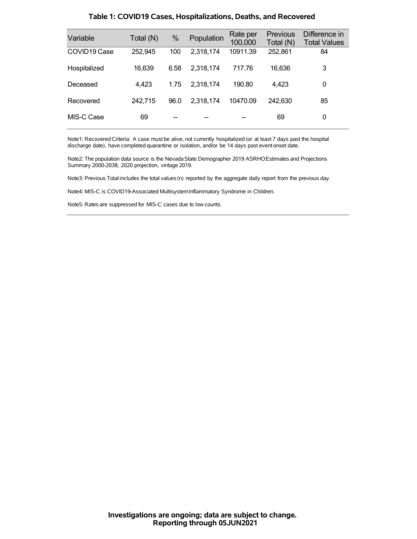| Variable     | Total (N) | %    | Population | Rate per<br>100,000 | <b>Previous</b><br>Total (N) | Difference in<br><b>Total Values</b> |
|--------------|-----------|------|------------|---------------------|------------------------------|--------------------------------------|
| COVID19 Case | 252,945   | 100  | 2,318,174  | 10911.39            | 252,861                      | 84                                   |
| Hospitalized | 16,639    | 6.58 | 2,318,174  | 717.76              | 16,636                       | 3                                    |
| Deceased     | 4,423     | 1.75 | 2.318.174  | 190.80              | 4,423                        | 0                                    |
| Recovered    | 242,715   | 96.0 | 2,318,174  | 10470.09            | 242,630                      | 85                                   |
| MIS-C Case   | 69        |      |            |                     | 69                           | 0                                    |

### **Table 1: COVID19 Cases, Hospitalizations, Deaths, and Recovered**

Note1: Recovered Criteria: A case must be alive, not currently hospitalized (or at least 7 days past the hospital discharge date), have completed quarantine or isolation, and/or be 14 days past event onset date.

Note2: The population data source is the Nevada State Demographer 2019 ASRHOEstimates and Projections Summary 2000-2038, 2020 projection, vintage 2019.

Note3: Previous Total includes the total values(n) reported by the aggregate daily report from the previous day.

Note4: MIS-C is COVID19-Associated MultisystemInflammatory Syndrome in Children.

Note5: Rates are suppressed for MIS-C cases due to low counts.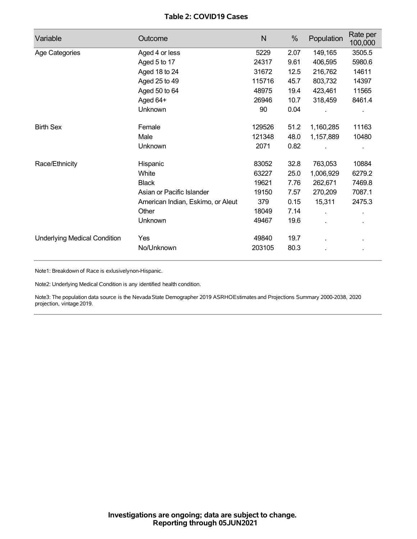## **Table 2: COVID19 Cases**

| Variable                            | Outcome                           | N      | %    | Population | Rate per<br>100,000 |
|-------------------------------------|-----------------------------------|--------|------|------------|---------------------|
| Age Categories                      | Aged 4 or less                    | 5229   | 2.07 | 149,165    | 3505.5              |
|                                     | Aged 5 to 17                      | 24317  | 9.61 | 406,595    | 5980.6              |
|                                     | Aged 18 to 24                     | 31672  | 12.5 | 216,762    | 14611               |
|                                     | Aged 25 to 49                     | 115716 | 45.7 | 803,732    | 14397               |
|                                     | Aged 50 to 64                     | 48975  | 19.4 | 423,461    | 11565               |
|                                     | Aged 64+                          | 26946  | 10.7 | 318,459    | 8461.4              |
|                                     | Unknown                           | 90     | 0.04 |            |                     |
| <b>Birth Sex</b>                    | Female                            | 129526 | 51.2 | 1,160,285  | 11163               |
|                                     | Male                              | 121348 | 48.0 | 1,157,889  | 10480               |
|                                     | Unknown                           | 2071   | 0.82 |            |                     |
| Race/Ethnicity                      | Hispanic                          | 83052  | 32.8 | 763,053    | 10884               |
|                                     | White                             | 63227  | 25.0 | 1,006,929  | 6279.2              |
|                                     | <b>Black</b>                      | 19621  | 7.76 | 262,671    | 7469.8              |
|                                     | Asian or Pacific Islander         | 19150  | 7.57 | 270,209    | 7087.1              |
|                                     | American Indian, Eskimo, or Aleut | 379    | 0.15 | 15,311     | 2475.3              |
|                                     | Other                             | 18049  | 7.14 | Ĭ.         |                     |
|                                     | <b>Unknown</b>                    | 49467  | 19.6 |            |                     |
| <b>Underlying Medical Condition</b> | Yes                               | 49840  | 19.7 |            |                     |
|                                     | No/Unknown                        | 203105 | 80.3 |            |                     |

Note1: Breakdown of Race is exlusivelynon-Hispanic.

Note2: Underlying Medical Condition is any identified health condition.

Note3: The population data source is the NevadaState Demographer 2019 ASRHOEstimates and Projections Summary 2000-2038, 2020 projection, vintage 2019.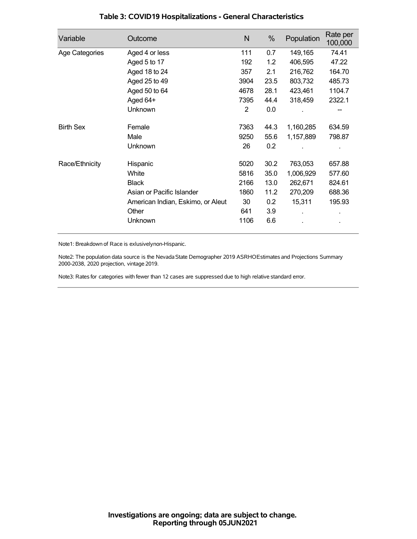| Variable         | Outcome                           | N    | %    | Population | Rate per<br>100,000 |
|------------------|-----------------------------------|------|------|------------|---------------------|
| Age Categories   | Aged 4 or less                    | 111  | 0.7  | 149,165    | 74.41               |
|                  | Aged 5 to 17                      | 192  | 1.2  | 406,595    | 47.22               |
|                  | Aged 18 to 24                     | 357  | 2.1  | 216,762    | 164.70              |
|                  | Aged 25 to 49                     | 3904 | 23.5 | 803,732    | 485.73              |
|                  | Aged 50 to 64                     | 4678 | 28.1 | 423,461    | 1104.7              |
|                  | Aged 64+                          | 7395 | 44.4 | 318,459    | 2322.1              |
|                  | Unknown                           | 2    | 0.0  |            |                     |
| <b>Birth Sex</b> | Female                            | 7363 | 44.3 | 1,160,285  | 634.59              |
|                  | Male                              | 9250 | 55.6 | 1,157,889  | 798.87              |
|                  | <b>Unknown</b>                    | 26   | 0.2  |            |                     |
| Race/Ethnicity   | Hispanic                          | 5020 | 30.2 | 763,053    | 657.88              |
|                  | White                             | 5816 | 35.0 | 1,006,929  | 577.60              |
|                  | <b>Black</b>                      | 2166 | 13.0 | 262,671    | 824.61              |
|                  | Asian or Pacific Islander         | 1860 | 11.2 | 270,209    | 688.36              |
|                  | American Indian, Eskimo, or Aleut | 30   | 0.2  | 15,311     | 195.93              |
|                  | Other                             | 641  | 3.9  |            |                     |
|                  | Unknown                           | 1106 | 6.6  |            |                     |

## **Table 3: COVID19 Hospitalizations - General Characteristics**

Note1: Breakdown of Race is exlusivelynon-Hispanic.

Note2: The population data source is the Nevada State Demographer 2019 ASRHOEstimates and Projections Summary 2000-2038, 2020 projection, vintage 2019.

Note3: Rates for categories with fewer than 12 cases are suppressed due to high relative standard error.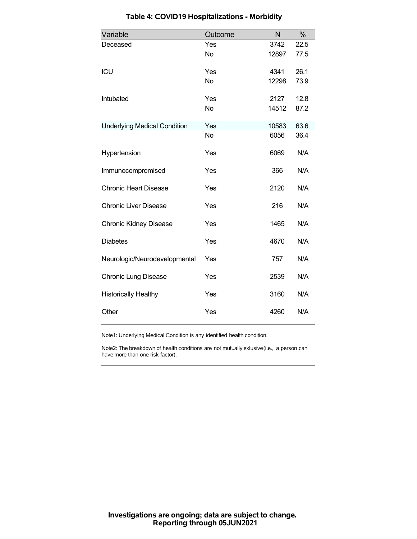| Variable                            | Outcome   | N     | %    |
|-------------------------------------|-----------|-------|------|
| Deceased                            | Yes       | 3742  | 22.5 |
|                                     | <b>No</b> | 12897 | 77.5 |
| ICU                                 | Yes       | 4341  | 26.1 |
|                                     | <b>No</b> | 12298 | 73.9 |
| Intubated                           | Yes       | 2127  | 12.8 |
|                                     | <b>No</b> | 14512 | 87.2 |
| <b>Underlying Medical Condition</b> | Yes       | 10583 | 63.6 |
|                                     | <b>No</b> | 6056  | 36.4 |
| Hypertension                        | Yes       | 6069  | N/A  |
| Immunocompromised                   | Yes       | 366   | N/A  |
| <b>Chronic Heart Disease</b>        | Yes       | 2120  | N/A  |
| <b>Chronic Liver Disease</b>        | Yes       | 216   | N/A  |
| <b>Chronic Kidney Disease</b>       | Yes       | 1465  | N/A  |
| <b>Diabetes</b>                     | Yes       | 4670  | N/A  |
| Neurologic/Neurodevelopmental       | Yes       | 757   | N/A  |
| <b>Chronic Lung Disease</b>         | Yes       | 2539  | N/A  |
| <b>Historically Healthy</b>         | Yes       | 3160  | N/A  |
| Other                               | Yes       | 4260  | N/A  |

# **Table 4: COVID19 Hospitalizations - Morbidity**

Note1: Underlying Medical Condition is any identified health condition.

Note2: The breakdown of health conditions are not mutually exlusive(i.e., a person can have more than one risk factor).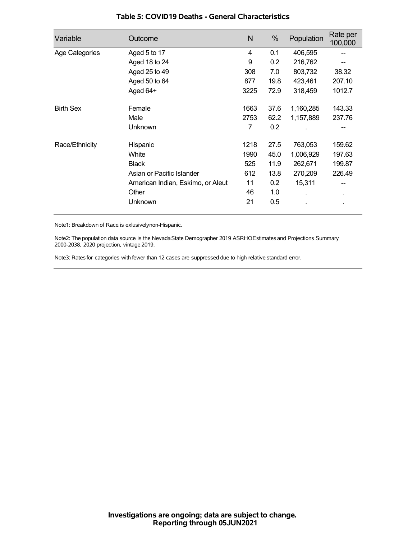| Variable         | Outcome                           | N    | %    | Population | Rate per<br>100,000 |
|------------------|-----------------------------------|------|------|------------|---------------------|
| Age Categories   | Aged 5 to 17                      | 4    | 0.1  | 406,595    |                     |
|                  | Aged 18 to 24                     | 9    | 0.2  | 216,762    |                     |
|                  | Aged 25 to 49                     | 308  | 7.0  | 803,732    | 38.32               |
|                  | Aged 50 to 64                     | 877  | 19.8 | 423,461    | 207.10              |
|                  | Aged 64+                          | 3225 | 72.9 | 318,459    | 1012.7              |
| <b>Birth Sex</b> | Female                            | 1663 | 37.6 | 1,160,285  | 143.33              |
|                  | Male                              | 2753 | 62.2 | 1,157,889  | 237.76              |
|                  | Unknown                           | 7    | 0.2  |            |                     |
| Race/Ethnicity   | Hispanic                          | 1218 | 27.5 | 763,053    | 159.62              |
|                  | White                             | 1990 | 45.0 | 1,006,929  | 197.63              |
|                  | <b>Black</b>                      | 525  | 11.9 | 262,671    | 199.87              |
|                  | Asian or Pacific Islander         | 612  | 13.8 | 270,209    | 226.49              |
|                  | American Indian, Eskimo, or Aleut | 11   | 0.2  | 15,311     |                     |
|                  | Other                             | 46   | 1.0  |            | ٠                   |
|                  | Unknown                           | 21   | 0.5  |            |                     |

### **Table 5: COVID19 Deaths - General Characteristics**

Note1: Breakdown of Race is exlusivelynon-Hispanic.

Note2: The population data source is the Nevada State Demographer 2019 ASRHOEstimates and Projections Summary 2000-2038, 2020 projection, vintage 2019.

Note3: Rates for categories with fewer than 12 cases are suppressed due to high relative standard error.